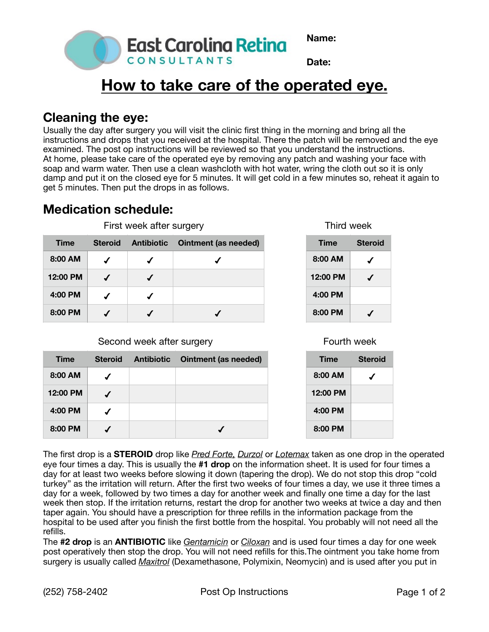



# **How to take care of the operated eye.**

**East Caroling Reting** 

CONSULTANTS

### **Cleaning the eye:**

Usually the day after surgery you will visit the clinic first thing in the morning and bring all the instructions and drops that you received at the hospital. There the patch will be removed and the eye examined. The post op instructions will be reviewed so that you understand the instructions. At home, please take care of the operated eye by removing any patch and washing your face with soap and warm water. Then use a clean washcloth with hot water, wring the cloth out so it is only damp and put it on the closed eye for 5 minutes. It will get cold in a few minutes so, reheat it again to get 5 minutes. Then put the drops in as follows.

### **Medication schedule:**

| <b>Time</b> | <b>Steroid</b> | <b>Antibiotic</b> | Ointment (as needed) |
|-------------|----------------|-------------------|----------------------|
| 8:00 AM     |                |                   |                      |
| 12:00 PM    |                |                   |                      |
| 4:00 PM     |                |                   |                      |
| 8:00 PM     |                |                   |                      |

First week after surgery

#### Second week after surgery

| <b>Time</b> | <b>Steroid</b> | <b>Antibiotic</b> | <b>Ointment (as needed)</b> |
|-------------|----------------|-------------------|-----------------------------|
| 8:00 AM     |                |                   |                             |
| 12:00 PM    |                |                   |                             |
| 4:00 PM     |                |                   |                             |
| 8:00 PM     |                |                   |                             |

Third week

| Time     | <b>Steroid</b> |
|----------|----------------|
| 8:00 AM  |                |
| 12:00 PM |                |
| 4:00 PM  |                |
| 8:00 PM  |                |

#### Fourth week

| Time     | <b>Steroid</b> |
|----------|----------------|
| 8:00 AM  |                |
| 12:00 PM |                |
| 4:00 PM  |                |
| 8:00 PM  |                |

The first drop is a **STEROID** drop like *Pred Forte, Durzol* or *Lotemax* taken as one drop in the operated eye four times a day. This is usually the **#1 drop** on the information sheet. It is used for four times a day for at least two weeks before slowing it down (tapering the drop). We do not stop this drop "cold turkey" as the irritation will return. After the first two weeks of four times a day, we use it three times a day for a week, followed by two times a day for another week and finally one time a day for the last week then stop. If the irritation returns, restart the drop for another two weeks at twice a day and then taper again. You should have a prescription for three refills in the information package from the hospital to be used after you finish the first bottle from the hospital. You probably will not need all the refills.

The **#2 drop** is an **ANTIBIOTIC** like *Gentamicin* or *Ciloxan* and is used four times a day for one week post operatively then stop the drop. You will not need refills for this.The ointment you take home from surgery is usually called *Maxitrol* (Dexamethasone, Polymixin, Neomycin) and is used after you put in